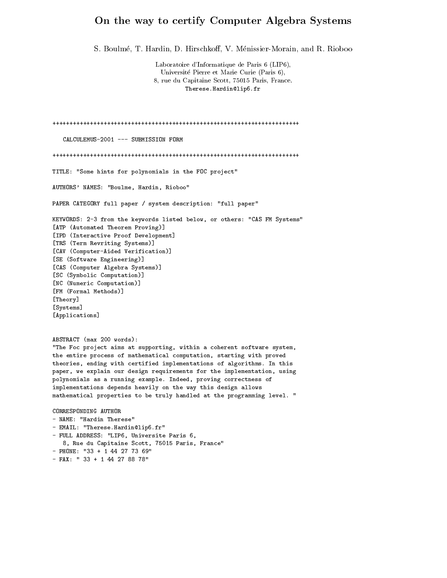# On the way to certify Computer Algebra Systems

S. Boulmé, T. Hardin, D. Hirschkoff, V. Ménissier-Morain, and R. Rioboo

Laboratoire d'Informatique de Paris 6 (LIP6), Université Pierre et Marie Curie (Paris 6), 8, rue du Capitaine Scott, 75015 Paris, France. Therese.Hardin@lip6.fr

CALCULEMUS-2001 --- SUBMISSION FORM TITLE: "Some hints for polynomials in the FOC project" AUTHORS' NAMES: "Boulme, Hardin, Rioboo" PAPER CATEGORY full paper / system description: "full paper" KEYWORDS: 2-3 from the keywords listed below, or others: "CAS FM Systems" [ATP (Automated Theorem Proving)] [IPD (Interactive Proof Development] [TRS (Term Revriting Systems)] [CAV (Computer-Aided Verification)] [SE (Software Engineering)] [CAS (Computer Algebra Systems)] [SC (Symbolic Computation)] [NC (Numeric Computation)] [FM (Formal Methods)] [Theory] [Systems] [Applications] ABSTRACT (max 200 words): "The Foc project aims at supporting, within a coherent software system, the entire process of mathematical computation, starting with proved theories, ending with certified implementations of algorithms. In this paper, we explain our design requirements for the implementation, using polynomials as a running example. Indeed, proving correctness of implementations depends heavily on the way this design allows mathematical properties to be truly handled at the programming level. " CORRESPONDING AUTHOR - NAME: "Hardin Therese" - EMAIL: "Therese.Hardin@lip6.fr" - FULL ADDRESS: "LIP6, Universite Paris 6, 8, Rue du Capitaine Scott, 75015 Paris, France" - PHONE: "33 + 1 44 27 73 69"

 $-$  FAX: " 33 + 1 44 27 88 78"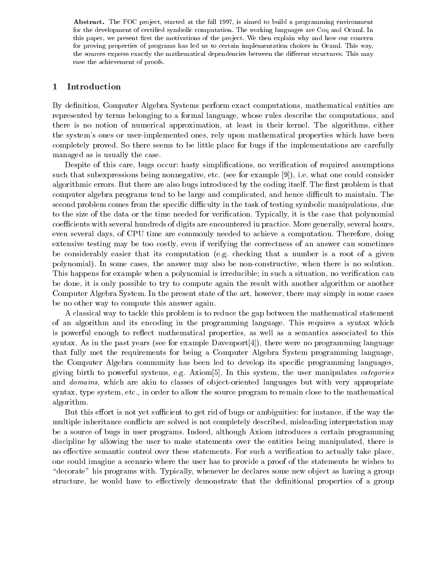Abstract. The FOC project, started at the fall 1997, is aimed to build a programming environment for the development of certified symbolic computation. The working languages are Coq and Ocaml. In this paper, we present first the motivations of the project. We then explain why and how our concern for proving properties of programs has led us to certain implementation choices in Ocaml. This way, the sources express exactly the mathematical dependencies between the different structures. This may ease the achievement of proofs.

# Introduction  $\mathbf{1}$

By definition, Computer Algebra Systems perform exact computations, mathematical entities are represented by terms belonging to a formal language, whose rules describe the computations, and there is no notion of numerical approximation, at least in their kernel. The algorithms, either the system's ones or user-implemented ones, rely upon mathematical properties which have been completely proved. So there seems to be little place for bugs if the implementations are carefully managed as is usually the case.

Despite of this care, bugs occur: hasty simplifications, no verification of required assumptions such that subexpressions being nonnegative, etc. (see for example [9]), i.e. what one could consider algorithmic errors. But there are also bugs introduced by the coding itself. The first problem is that computer algebra programs tend to be large and complicated, and hence difficult to maintain. The second problem comes from the specific difficulty in the task of testing symbolic manipulations, due to the size of the data or the time needed for verification. Typically, it is the case that polynomial coefficients with several hundreds of digits are encountered in practice. More generally, several hours, even several days, of CPU time are commonly needed to achieve a computation. Therefore, doing extensive testing may be too costly, even if verifying the correctness of an answer can sometimes be considerably easier that its computation (e.g. checking that a number is a root of a given polynomial). In some cases, the answer may also be non-constructive, when there is no solution. This happens for example when a polynomial is irreducible; in such a situation, no verification can be done, it is only possible to try to compute again the result with another algorithm or another Computer Algebra System. In the present state of the art, however, there may simply in some cases be no other way to compute this answer again.

A classical way to tackle this problem is to reduce the gap between the mathematical statement of an algorithm and its encoding in the programming language. This requires a syntax which is powerful enough to reflect mathematical properties, as well as a semantics associated to this syntax. As in the past years (see for example Davenport[4]), there were no programming language that fully met the requirements for being a Computer Algebra System programming language, the Computer Algebra community has been led to develop its specific programming languages. giving birth to powerful systems, e.g. Axiom<sup>[5]</sup>. In this system, the user manipulates *categories* and *domains*, which are akin to classes of object-oriented languages but with very appropriate syntax, type system, etc., in order to allow the source program to remain close to the mathematical algorithm.

But this effort is not yet sufficient to get rid of bugs or ambiguities: for instance, if the way the multiple inheritance conflicts are solved is not completely described, misleading interpretation may be a source of bugs in user programs. Indeed, although Axiom introduces a certain programming discipline by allowing the user to make statements over the entities being manipulated, there is no effective semantic control over these statements. For such a verification to actually take place, one could imagine a scenario where the user has to provide a proof of the statements he wishes to "decorate" his programs with. Typically, whenever he declares some new object as having a group structure, he would have to effectively demonstrate that the definitional properties of a group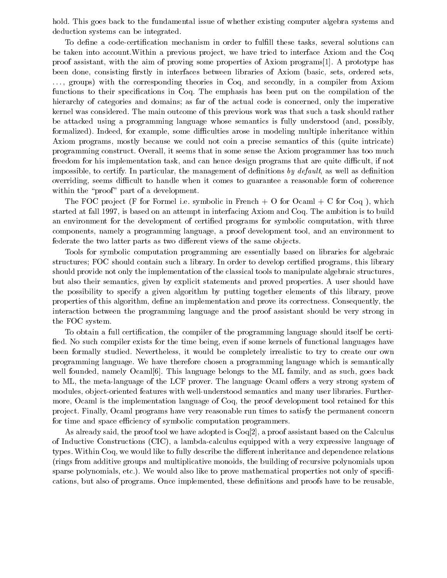hold. This goes back to the fundamental issue of whether existing computer algebra systems and deduction systems can be integrated.

To define a code-certification mechanism in order to fulfill these tasks, several solutions can be taken into account. Within a previous project, we have tried to interface Axiom and the Coq proof assistant, with the aim of proving some properties of Axiom programs [1]. A prototype has been done, consisting firstly in interfaces between libraries of Axiom (basic, sets, ordered sets, ..., groups) with the corresponding theories in Coq, and secondly, in a compiler from Axiom functions to their specifications in Coq. The emphasis has been put on the compilation of the hierarchy of categories and domains; as far of the actual code is concerned, only the imperative kernel was considered. The main outcome of this previous work was that such a task should rather be attacked using a programming language whose semantics is fully understood (and, possibly, formalized). Indeed, for example, some difficulties arose in modeling multiple inheritance within Axiom programs, mostly because we could not coin a precise semantics of this (quite intricate) programming construct. Overall, it seems that in some sense the Axiom programmer has too much freedom for his implementation task, and can hence design programs that are quite difficult, if not impossible, to certify. In particular, the management of definitions by default, as well as definition overriding, seems difficult to handle when it comes to guarantee a reasonable form of coherence within the "proof" part of a development.

The FOC project (F for Formel i.e. symbolic in French  $+$  O for Ocaml  $+$  C for Coq ), which started at fall 1997, is based on an attempt in interfacing Axiom and Coq. The ambition is to build an environment for the development of certified programs for symbolic computation, with three components, namely a programming language, a proof development tool, and an environment to federate the two latter parts as two different views of the same objects.

Tools for symbolic computation programming are essentially based on libraries for algebraic structures; FOC should contain such a library. In order to develop certified programs, this library should provide not only the implementation of the classical tools to manipulate algebraic structures, but also their semantics, given by explicit statements and proved properties. A user should have the possibility to specify a given algorithm by putting together elements of this library, prove properties of this algorithm, define an implementation and prove its correctness. Consequently, the interaction between the programming language and the proof assistant should be very strong in the FOC system.

To obtain a full certification, the compiler of the programming language should itself be certified. No such compiler exists for the time being, even if some kernels of functional languages have been formally studied. Nevertheless, it would be completely irrealistic to try to create our own programming language. We have therefore chosen a programming language which is semantically well founded, namely Ocaml<sup>[6]</sup>. This language belongs to the ML family, and as such, goes back to ML, the meta-language of the LCF prover. The language Ocaml offers a very strong system of modules, object-oriented features with well-understood semantics and many user libraries. Furthermore, Ocaml is the implementation language of Coq, the proof development tool retained for this project. Finally, Ocaml programs have very reasonable run times to satisfy the permanent concern for time and space efficiency of symbolic computation programmers.

As already said, the proof tool we have adopted is  $Coq[2]$ , a proof assistant based on the Calculus of Inductive Constructions (CIC), a lambda-calculus equipped with a very expressive language of types. Within Coq, we would like to fully describe the different inheritance and dependence relations (rings from additive groups and multiplicative monoids, the building of recursive polynomials upon sparse polynomials, etc.). We would also like to prove mathematical properties not only of specifications, but also of programs. Once implemented, these definitions and proofs have to be reusable.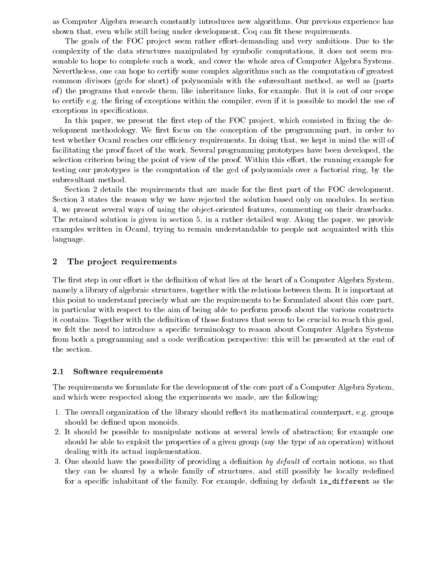as Computer Algebra research constantly introduces new algorithms. Our previous experience has shown that, even while still being under development, Coq can fit these requirements.

The goals of the FOC project seem rather effort-demanding and very ambitious. Due to the complexity of the data structures manipulated by symbolic computations, it does not seem reasonable to hope to complete such a work, and cover the whole area of Computer Algebra Systems. Nevertheless, one can hope to certify some complex algorithms such as the computation of greatest common divisors (gcds for short) of polynomials with the subresultant method, as well as (parts of) the programs that encode them, like inheritance links, for example. But it is out of our scope to certify e.g. the firing of exceptions within the compiler, even if it is possible to model the use of exceptions in specifications.

In this paper, we present the first step of the FOC project, which consisted in fixing the development methodology. We first focus on the conception of the programming part, in order to test whether Ocaml reaches our efficiency requirements. In doing that, we kept in mind the will of facilitating the proof facet of the work. Several programming prototypes have been developed, the selection criterion being the point of view of the proof. Within this effort, the running example for testing our prototypes is the computation of the gcd of polynomials over a factorial ring, by the subresultant method.

Section 2 details the requirements that are made for the first part of the FOC development. Section 3 states the reason why we have rejected the solution based only on modules. In section 4, we present several ways of using the object-oriented features, commenting on their drawbacks. The retained solution is given in section 5, in a rather detailed way. Along the paper, we provide examples written in Ocaml, trying to remain understandable to people not acquainted with this language.

# $\overline{2}$ The project requirements

The first step in our effort is the definition of what lies at the heart of a Computer Algebra System, namely a library of algebraic structures, together with the relations between them. It is important at this point to understand precisely what are the requirements to be formulated about this core part, in particular with respect to the aim of being able to perform proofs about the various constructs it contains. Together with the definition of those features that seem to be crucial to reach this goal, we felt the need to introduce a specific terminology to reason about Computer Algebra Systems from both a programming and a code verification perspective: this will be presented at the end of the section.

#### $2.1$ Software requirements

The requirements we formulate for the development of the core part of a Computer Algebra System, and which were respected along the experiments we made, are the following:

- 1. The overall organization of the library should reflect its mathematical counterpart, e.g. groups should be defined upon monoids.
- 2. It should be possible to manipulate notions at several levels of abstraction; for example one should be able to exploit the properties of a given group (say the type of an operation) without dealing with its actual implementation.
- 3. One should have the possibility of providing a definition by default of certain notions, so that they can be shared by a whole family of structures, and still possibly be locally redefined for a specific inhabitant of the family. For example, defining by default is\_different as the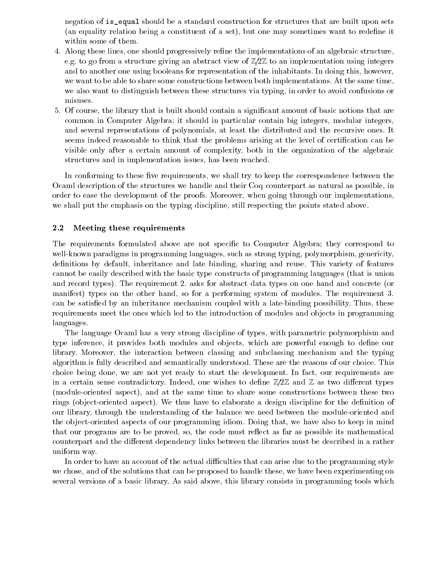negation of is\_equal should be a standard construction for structures that are built upon sets (an equality relation being a constituent of a set), but one may sometimes want to redefine it within some of them.

- 4. Along these lines, one should progressively refine the implementations of an algebraic structure, e.g. to go from a structure giving an abstract view of  $\mathbb{Z}/2\mathbb{Z}$  to an implementation using integers and to another one using booleans for representation of the inhabitants. In doing this, however, we want to be able to share some constructions between both implementations. At the same time, we also want to distinguish between these structures via typing, in order to avoid confusions or misuses.
- 5. Of course, the library that is built should contain a significant amount of basic notions that are common in Computer Algebra: it should in particular contain big integers, modular integers, and several representations of polynomials, at least the distributed and the recursive ones. It seems indeed reasonable to think that the problems arising at the level of certification can be visible only after a certain amount of complexity, both in the organization of the algebraic structures and in implementation issues, has been reached.

In conforming to these five requirements, we shall try to keep the correspondence between the Ocaml description of the structures we handle and their Coq counterpart as natural as possible, in order to ease the development of the proofs. Moreover, when going through our implementations, we shall put the emphasis on the typing discipline, still respecting the points stated above.

# $2.2$ Meeting these requirements

The requirements formulated above are not specific to Computer Algebra; they correspond to well-known paradigms in programming languages, such as strong typing, polymorphism, genericity, definitions by default, inheritance and late binding, sharing and reuse. This variety of features cannot be easily described with the basic type constructs of programming languages (that is union and record types). The requirement 2. asks for abstract data types on one hand and concrete (or manifest) types on the other hand, so for a performing system of modules. The requirement 3. can be satisfied by an inheritance mechanism coupled with a late-binding possibility. Thus, these requirements meet the ones which led to the introduction of modules and objects in programming languages.

The language Ocaml has a very strong discipline of types, with parametric polymorphism and type inference, it provides both modules and objects, which are powerful enough to define our library. Moreover, the interaction between classing and subclassing mechanism and the typing algorithm is fully described and semantically understood. These are the reasons of our choice. This choice being done, we are not yet ready to start the development. In fact, our requirements are in a certain sense contradictory. Indeed, one wishes to define  $\mathbb{Z}/2\mathbb{Z}$  and  $\mathbb Z$  as two different types (module-oriented aspect), and at the same time to share some constructions between these two rings (object-oriented aspect). We thus have to elaborate a design discipline for the definition of our library, through the understanding of the balance we need between the module-oriented and the object-oriented aspects of our programming idiom. Doing that, we have also to keep in mind that our programs are to be proved, so, the code must reflect as far as possible its mathematical counterpart and the different dependency links between the libraries must be described in a rather uniform way.

In order to have an account of the actual difficulties that can arise due to the programming style we chose, and of the solutions that can be proposed to handle these, we have been experimenting on several versions of a basic library. As said above, this library consists in programming tools which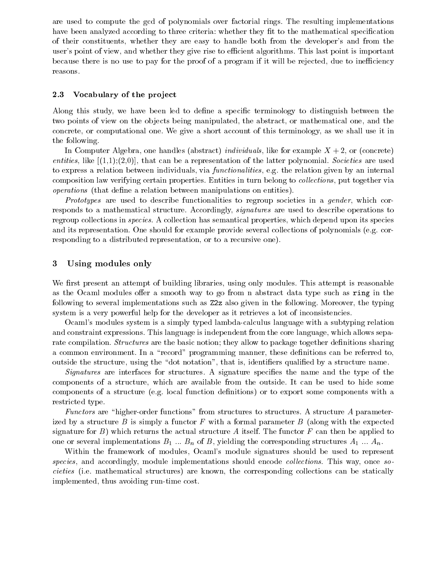are used to compute the gcd of polynomials over factorial rings. The resulting implementations have been analyzed according to three criteria: whether they fit to the mathematical specification of their constituents, whether they are easy to handle both from the developer's and from the user's point of view, and whether they give rise to efficient algorithms. This last point is important because there is no use to pay for the proof of a program if it will be rejected, due to inefficiency reasons.

# Vocabulary of the project 2.3

Along this study, we have been led to define a specific terminology to distinguish between the two points of view on the objects being manipulated, the abstract, or mathematical one, and the concrete, or computational one. We give a short account of this terminology, as we shall use it in the following.

In Computer Algebra, one handles (abstract) *individuals*, like for example  $X + 2$ , or (concrete) entities, like  $[(1,1),(2,0)]$ , that can be a representation of the latter polynomial. Societies are used to express a relation between individuals, via *functionalities*, e.g. the relation given by an internal composition law verifying certain properties. Entities in turn belong to *collections*, put together via *operations* (that define a relation between manipulations on entities).

*Prototypes* are used to describe functionalities to regroup societies in a *gender*, which corresponds to a mathematical structure. Accordingly, *signatures* are used to describe operations to regroup collections in *species*. A collection has semantical properties, which depend upon its species and its representation. One should for example provide several collections of polynomials (e.g. corresponding to a distributed representation, or to a recursive one).

# Using modules only 3

We first present an attempt of building libraries, using only modules. This attempt is reasonable as the Ocaml modules offer a smooth way to go from n abstract data type such as ring in the following to several implementations such as Z2z also given in the following. Moreover, the typing system is a very powerful help for the developer as it retrieves a lot of inconsistencies.

Ocaml's modules system is a simply typed lambda-calculus language with a subtyping relation and constraint expressions. This language is independent from the core language, which allows separate compilation. *Structures* are the basic notion; they allow to package together definitions sharing a common environment. In a "record" programming manner, these definitions can be referred to, outside the structure, using the "dot notation", that is, identifiers qualified by a structure name.

*Signatures* are interfaces for structures. A signature specifies the name and the type of the components of a structure, which are available from the outside. It can be used to hide some components of a structure (e.g. local function definitions) or to export some components with a restricted type.

Functors are "higher-order functions" from structures to structures. A structure A parameterized by a structure B is simply a functor F with a formal parameter B (along with the expected signature for B) which returns the actual structure A itself. The functor F can then be applied to one or several implementations  $B_1 \dots B_n$  of B, yielding the corresponding structures  $A_1 \dots A_n$ .

Within the framework of modules, Ocaml's module signatures should be used to represent species, and accordingly, module implementations should encode collections. This way, once sociveties (i.e. mathematical structures) are known, the corresponding collections can be statically implemented, thus avoiding run-time cost.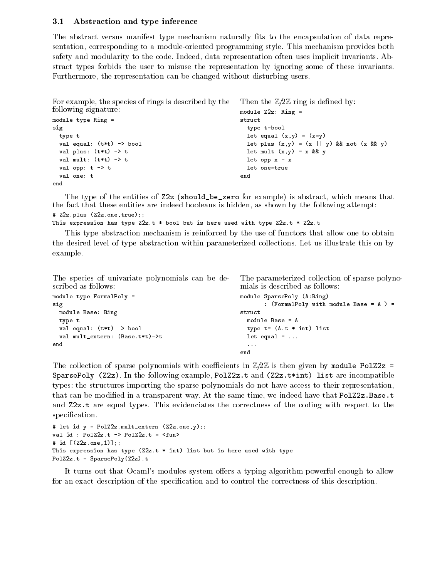# $3.1$ Abstraction and type inference

The abstract versus manifest type mechanism naturally fits to the encapsulation of data representation, corresponding to a module oriented programming style. This mechanism provides both safety and modularity to the code. Indeed, data representation often uses implicit invariants. Abstract types forbids the user to misuse the representation by ignoring some of these invariants. Furthermore, the representation can be changed without disturbing users.

```
For example, the species of rings is described by the
                                                            Then the \mathbb{Z}/2\mathbb{Z} ring is defined by:
following signature:
                                                            module Z2z: Ring =
module type Ring =struct
                                                              type t=bool
sig
 type t
                                                              let equal (x, y) = (x=y)val equal: (t*t) -> bool
                                                              let plus (x,y) = (x \mid y) & & not (x \& x y)val plus: (t*t) -> t
                                                              let mult (x, y) = x & & y
 val mult: (t*t) -> t
                                                              let opp x = xval opp: t \rightarrow tlet one=true
 val one: t
                                                            end
end
```
The type of the entities of Z2z (should\_be\_zero for example) is abstract, which means that the fact that these entities are indeed booleans is hidden, as shown by the following attempt: # Z2z.plus (Z2z.one, true);;

This expression has type Z2z.t \* bool but is here used with type Z2z.t \* Z2z.t

This type abstraction mechanism is reinforced by the use of functors that allow one to obtain the desired level of type abstraction within parameterized collections. Let us illustrate this on by example.

The parameterized collection of sparse polyno-

mials is described as follows:

The species of univariate polynomials can be described as follows:

```
module SparsePoly (A:Ring)
module type FormalPoly =
                                                               : (FormalPoly with module Base = A ) =
sigmodule Base: Ring
                                                       struct
                                                         module Base = Atype t
 val equal: (t*t) -> bool
                                                         type t = (A.t * int) listval mult_extern: (Base.t*t)->t
                                                         let equal = ...end
                                                       end
```
The collection of sparse polynomials with coefficients in  $\mathbb{Z}/2\mathbb{Z}$  is then given by module PolZ2z = SparsePoly (Z2z). In the following example, PolZ2z.t and (Z2z.t\*int) list are incompatible types: the structures importing the sparse polynomials do not have access to their representation, that can be modified in a transparent way. At the same time, we indeed have that Po1Z2z. Base.t and Z2z.t are equal types. This evidenciates the correctness of the coding with respect to the specification.

```
# let id y = P01Z2z. mult_extern (Z2z \cdot one, y);;
val id : PolZ2z.t \rightarrow PolZ2z.t = \langle fun \rangle# id [(22z \cdot \text{one}, 1)];;
This expression has type (Z2z.t * int) list but is here used with type
PolZ2z.t = SparsePoly(Z2z).t
```
It turns out that Ocam's modules system offers a typing algorithm powerful enough to allow for an exact description of the specification and to control the correctness of this description.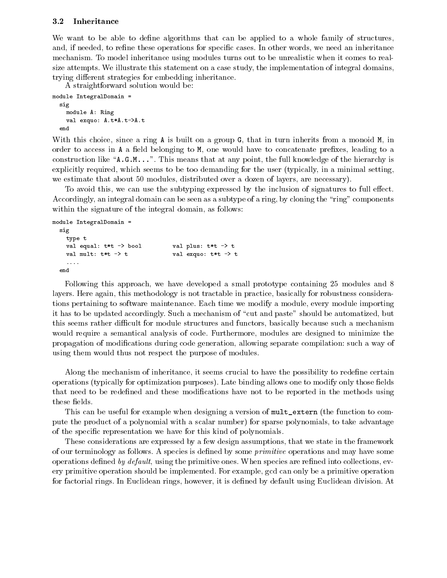## $3.2$ Inheritance

We want to be able to define algorithms that can be applied to a whole family of structures, and, if needed, to refine these operations for specific cases. In other words, we need an inheritance mechanism. To model inheritance using modules turns out to be unrealistic when it comes to realsize attempts. We illustrate this statement on a case study, the implementation of integral domains, trying different strategies for embedding inheritance.

A straightforward solution would be:

```
module IntegralDomain =
 sigmodule A: Ring
    val exquo: A.t*A.t->A.t
 end
```
With this choice, since a ring A is built on a group G, that in turn inherits from a monoid M, in order to access in A a field belonging to M, one would have to concatenate prefixes, leading to a construction like "A.G.M...". This means that at any point, the full knowledge of the hierarchy is explicitly required, which seems to be too demanding for the user (typically, in a minimal setting, we estimate that about 50 modules, distributed over a dozen of layers, are necessary).

To avoid this, we can use the subtyping expressed by the inclusion of signatures to full effect. Accordingly, an integral domain can be seen as a subtype of a ring, by cloning the "ring" components within the signature of the integral domain, as follows:

```
module IntegralDomain =
  sig
    type t
    val equal: t*t -> bool
                                       val plus: t*t -> tval mult: t*t \rightarrow tval exquo: t*t -> t\ldots .
 end
```
Following this approach, we have developed a small prototype containing 25 modules and 8 layers. Here again, this methodology is not tractable in practice, basically for robustness considerations pertaining to software maintenance. Each time we modify a module, every module importing it has to be updated accordingly. Such a mechanism of "cut and paste" should be automatized, but this seems rather difficult for module structures and functors, basically because such a mechanism would require a semantical analysis of code. Furthermore, modules are designed to minimize the propagation of modifications during code generation, allowing separate compilation: such a way of using them would thus not respect the purpose of modules.

Along the mechanism of inheritance, it seems crucial to have the possibility to redefine certain operations (typically for optimization purposes). Late binding allows one to modify only those fields that need to be redefined and these modifications have not to be reported in the methods using these fields.

This can be useful for example when designing a version of mult\_extern (the function to compute the product of a polynomial with a scalar number) for sparse polynomials, to take advantage of the specific representation we have for this kind of polynomials.

These considerations are expressed by a few design assumptions, that we state in the framework of our terminology as follows. A species is defined by some *primitive* operations and may have some operations defined by default, using the primitive ones. When species are refined into collections, every primitive operation should be implemented. For example, gcd can only be a primitive operation for factorial rings. In Euclidean rings, however, it is defined by default using Euclidean division. At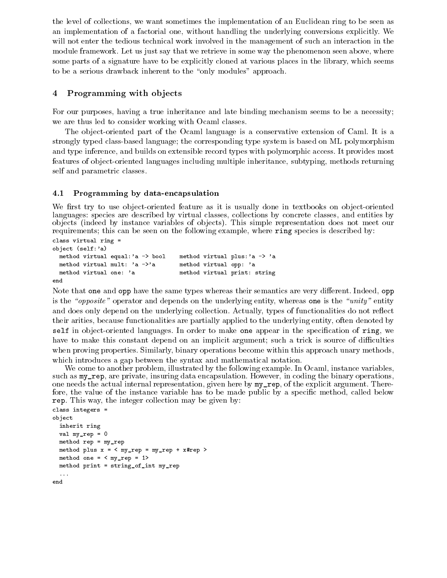the level of collections, we want sometimes the implementation of an Euclidean ring to be seen as an implementation of a factorial one, without handling the underlying conversions explicitly. We will not enter the tedious technical work involved in the management of such an interaction in the module framework. Let us just say that we retrieve in some way the phenomenon seen above, where some parts of a signature have to be explicitly cloned at various places in the library, which seems to be a serious drawback inherent to the "only modules" approach.

# Programming with objects  $\overline{4}$

For our purposes, having a true inheritance and late binding mechanism seems to be a necessity; we are thus led to consider working with Ocaml classes.

The object-oriented part of the Ocaml language is a conservative extension of Caml. It is a strongly typed class-based language; the corresponding type system is based on ML polymorphism and type inference, and builds on extensible record types with polymorphic access. It provides most features of object-oriented languages including multiple inheritance, subtyping, methods returning self and parametric classes.

# Programming by data-encapsulation 4.1

We first try to use object-oriented feature as it is usually done in textbooks on object-oriented languages: species are described by virtual classes, collections by concrete classes, and entities by objects (indeed by instance variables of objects). This simple representation does not meet our requirements; this can be seen on the following example, where ring species is described by:

```
class virtual ring =
object (self:'a)
 method virtual equal:'a -> bool
                                      method virtual plus:'a -> 'a
 method virtual mult: a \rightarrow amethod virtual opp: 'a
 method virtual one: 'a
                                      method virtual print: string
end
```
Note that one and opp have the same types whereas their semantics are very different. Indeed, opp is the "*opposite*" operator and depends on the underlying entity, whereas one is the "*unity*" entity and does only depend on the underlying collection. Actually, types of functionalities do not reflect their arities, because functionalities are partially applied to the underlying entity, often denoted by self in object-oriented languages. In order to make one appear in the specification of ring, we have to make this constant depend on an implicit argument; such a trick is source of difficulties when proving properties. Similarly, binary operations become within this approach unary methods, which introduces a gap between the syntax and mathematical notation.

We come to another problem, illustrated by the following example. In Ocaml, instance variables, such as my\_rep, are private, insuring data encapsulation. However, in coding the binary operations, one needs the actual internal representation, given here by  $my_{\text{rep}}$ , of the explicit argument. Therefore, the value of the instance variable has to be made public by a specific method, called below rep. This way, the integer collection may be given by:

```
class integers =object
  inherit ring
  val my_rep = 0
  method rep = my_{rep}method plus x = \langle my_{rep} = my_{rep} + x \# rep \ranglemethod one = < my_rep = 1>
  method print = string_of_int my_rep
  \ldots_{\mathrm{end}}
```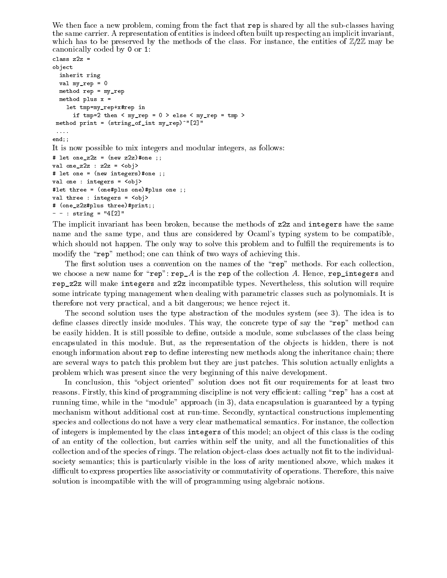We then face a new problem, coming from the fact that rep is shared by all the sub-classes having the same carrier. A representation of entities is indeed often built up respecting an implicit invariant, which has to be preserved by the methods of the class. For instance, the entities of  $\mathbb{Z}/2\mathbb{Z}$  may be canonically coded by 0 or 1:

```
class z2z =object
  inherit ring
 val my_rep = 0
 method rep = my_{rep}method plus x =let tmp=my_rep+x#rep in
      if tmp=2 then \langle my_rep = 0 \rangle else \langle my_rep = tmp \ranglemethod print = (string_of_info_my_rep)^" [2]"
 \mathbf{1}end;;
It is now possible to mix integers and modular integers, as follows:
# let one_z2z = (new z2z)#one ;;
val one_z2z : z2z = \langleobj>
# let one = (new integers)#one ;;
val one : integers = \langleobj>
#let three = (one#plus one)#plus one ;;
val three : integers = \langleobj>
# (one_z2z#plus three)#print;;
- - : string = "4[2]"
```
The implicit invariant has been broken, because the methods of z2z and integers have the same name and the same type, and thus are considered by Ocaml's typing system to be compatible, which should not happen. The only way to solve this problem and to fulfill the requirements is to modify the "rep" method; one can think of two ways of achieving this.

The first solution uses a convention on the names of the "rep" methods. For each collection, we choose a new name for "rep":  $\mathbf{rep}$  is the rep of the collection A. Hence, rep\_integers and rep\_z2z will make integers and z2z incompatible types. Nevertheless, this solution will require some intricate typing management when dealing with parametric classes such as polynomials. It is therefore not very practical, and a bit dangerous; we hence reject it.

The second solution uses the type abstraction of the modules system (see 3). The idea is to define classes directly inside modules. This way, the concrete type of say the "rep" method can be easily hidden. It is still possible to define, outside a module, some subclasses of the class being encapsulated in this module. But, as the representation of the objects is hidden, there is not enough information about rep to define interesting new methods along the inheritance chain; there are several ways to patch this problem but they are just patches. This solution actually enlights a problem which was present since the very beginning of this naive development.

In conclusion, this "object oriented" solution does not fit our requirements for at least two reasons. Firstly, this kind of programming discipline is not very efficient: calling "rep" has a cost at running time, while in the "module" approach (in 3), data encapsulation is guaranteed by a typing mechanism without additional cost at run-time. Secondly, syntactical constructions implementing species and collections do not have a very clear mathematical semantics. For instance, the collection of integers is implemented by the class integers of this model; an object of this class is the coding of an entity of the collection, but carries within self the unity, and all the functionalities of this collection and of the species of rings. The relation object-class does actually not fit to the individualsociety semantics; this is particularly visible in the loss of arity mentioned above, which makes it difficult to express properties like associativity or commutativity of operations. Therefore, this naive solution is incompatible with the will of programming using algebraic notions.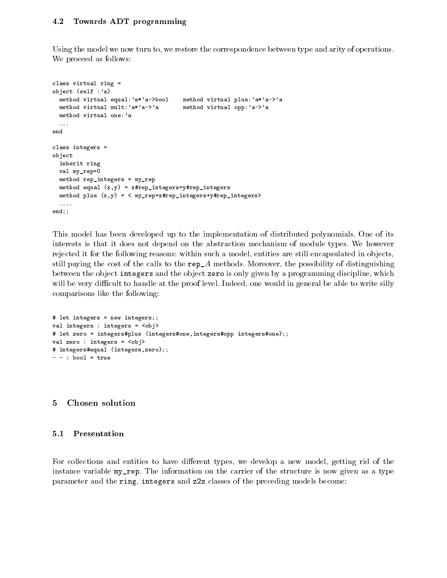# 4.2 Towards ADT programming

Using the model we now turn to, we restore the correspondence between type and arity of operations. We proceed as follows:

```
class virtual ring =
object (self :'a)
 method virtual equal:'a*'a->bool method virtual plus:'a*'a->'a
  method virtual mult:'a*'a->'a
                                            method virtual opp:'a->'a
 method virtual one:'a
  \ldots_{\mathrm{end}}class integers =
object
  inherit ring
 val my_rep=0
 method rep\_integers = my\_repmethod equal (x, y) = x\# \text{rep}_\text{integers} = y\# \text{rep}_\text{integers}method plus (x,y) = \langle my_rep=x#rep_interest\#rep_interest\#rep_interest\rangle\ldotsend;;
```
This model has been developed up to the implementation of distributed polynomials. One of its interests is that it does not depend on the abstraction mechanism of module types. We however rejected it for the following reasons: within such a model, entities are still encapsulated in objects, still paying the cost of the calls to the  $rep_A$  methods. Moreover, the possibility of distinguishing between the object integers and the object zero is only given by a programming discipline, which will be very difficult to handle at the proof level. Indeed, one would in general be able to write silly comparisons like the following:

```
# let integers = new integers;;
val integers : integers = 
# let zero = integers#plus (integers#one, integers#opp integers#one);;
val zero : integers = 
# integers#equal (integers,zero);;
- - : bool = true
```
# **Chosen solution** 5

# $5.1$ Presentation

For collections and entities to have different types, we develop a new model, getting rid of the instance variable my\_rep. The information on the carrier of the structure is now given as a type parameter and the ring, integers and z2z classes of the preceding models become: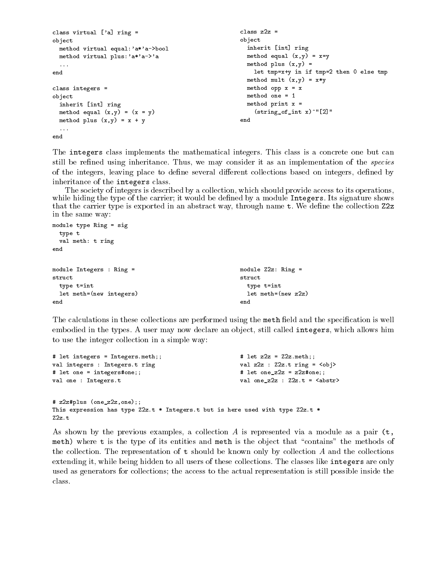```
class virtual ['a] ring =
                                                         class z2z =object
                                                         object
                                                           inherit [int] ring
 method virtual equal:'a*'a->bool
                                                           method equal (x,y) = x=ymethod virtual plus: 'a*'a->'a
                                                           method plus (x, y) =
 \ldotslet tmp=x+y in if tmp=2 then 0 else tmp
end
                                                           method mult (x, y) = x*ymethod opp x = xclass integers =
                                                           method one = 1
object
 inherit [int] ring
                                                           method print x =(\text{string_of}_\text{int x})"[2]"
 method equal (x, y) = (x = y)method plus (x,y) = x + yend
 \sim .
end
```
The integers class implements the mathematical integers. This class is a concrete one but can still be refined using inheritance. Thus, we may consider it as an implementation of the *species* of the integers, leaving place to define several different collections based on integers, defined by inheritance of the integers class.

The society of integers is described by a collection, which should provide access to its operations, while hiding the type of the carrier; it would be defined by a module Integers. Its signature shows that the carrier type is exported in an abstract way, through name t. We define the collection Z2z in the same way:

```
module type Ring = sig
 type t
 val meth: t ring
end
module Integers : Ring =module Z2z: Ring =
struct
                                                       struct
 type t=int
                                                        type t=int
 let meth=(new integers)
                                                         let meth=(new z2z)end
end
```
The calculations in these collections are performed using the meth field and the specification is well embodied in the types. A user may now declare an object, still called integers, which allows him to use the integer collection in a simple way:

```
# let z2z = Z2z.meth;;
# let integers = Integers.meth;;
                                                         val z2z : Z2z.t ring = \langle obj \rangleval integers : Integers.t ring
# let one = integers#one;;
                                                         # let one_z2z = z2z#one;;
                                                         val one_z2z : Z2z.t = <b>6</b>val one : Integers.t
# z2z#plus (one_z2z,one);;
This expression has type Z2z.t * Integers.t but is here used with type Z2z.t *
Z2z.t
```
As shown by the previous examples, a collection A is represented via a module as a pair  $(t, t)$ meth) where t is the type of its entities and meth is the object that "contains" the methods of the collection. The representation of  $t$  should be known only by collection A and the collections extending it, while being hidden to all users of these collections. The classes like integers are only used as generators for collections; the access to the actual representation is still possible inside the class.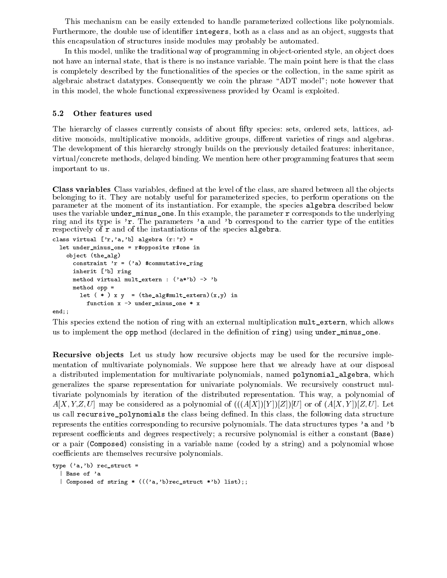This mechanism can be easily extended to handle parameterized collections like polynomials. Furthermore, the double use of identifier integers, both as a class and as an object, suggests that this encapsulation of structures inside modules may probably be automated.

In this model, unlike the traditional way of programming in object-oriented style, an object does not have an internal state, that is there is no instance variable. The main point here is that the class is completely described by the functionalities of the species or the collection, in the same spirit as algebraic abstract data types. Consequently we coin the phrase "ADT model"; note however that in this model, the whole functional expressiveness provided by Ocaml is exploited.

# $5.2$ Other features used

The hierarchy of classes currently consists of about fifty species: sets, ordered sets, lattices, additive monoids, multiplicative monoids, additive groups, different varieties of rings and algebras. The development of this hierarchy strongly builds on the previously detailed features: inheritance, virtual/concrete methods, delayed binding. We mention here other programming features that seem important to us.

Class variables Class variables, defined at the level of the class, are shared between all the objects belonging to it. They are notably useful for parameterized species, to perform operations on the parameter at the moment of its instantiation. For example, the species algebra described below uses the variable under minus one. In this example, the parameter  $r$  corresponds to the underlying ring and its type is 'r. The parameters' a and 'b correspond to the carrier type of the entities respectively of r and of the instantiations of the species algebra.

```
class virtual ['r, 'a, 'b] algebra (r: 'r) =
 let under_minus_one = r#opposite r#one in
    object (the_alg)
      constraint 'r = ('a) #commutative_ring
      inherit ['b] ring
     method virtual mult_extern : ('a*'b) -> 'b
     method opp =
       let (* ) x y = (the_alg#mult_extern)(x,y) in
          function x -> under_minus_one * x
end;
```
This species extend the notion of ring with an external multiplication mult extern, which allows us to implement the opp method (declared in the definition of ring) using under\_minus\_one.

**Recursive objects** Let us study how recursive objects may be used for the recursive implementation of multivariate polynomials. We suppose here that we already have at our disposal a distributed implementation for multivariate polynomials, named polynomial algebra, which generalizes the sparse representation for univariate polynomials. We recursively construct multivariate polynomials by iteration of the distributed representation. This way, a polynomial of  $A[X, Y, Z, U]$  may be considered as a polynomial of  $(((A[X])[Y])[Z])[U]$  or of  $(A[X, Y])[Z, U]$ . Let us call recursive polynomials the class being defined. In this class, the following data structure represents the entities corresponding to recursive polynomials. The data structures types 'a and 'b represent coefficients and degrees respectively; a recursive polynomial is either a constant (Base) or a pair (Composed) consisting in a variable name (coded by a string) and a polynomial whose coefficients are themselves recursive polynomials.

```
type ('a,'b) rec_struct =| Base of 'a
  | Composed of string * ((('a,'b)rec_struct *'b) list);;
```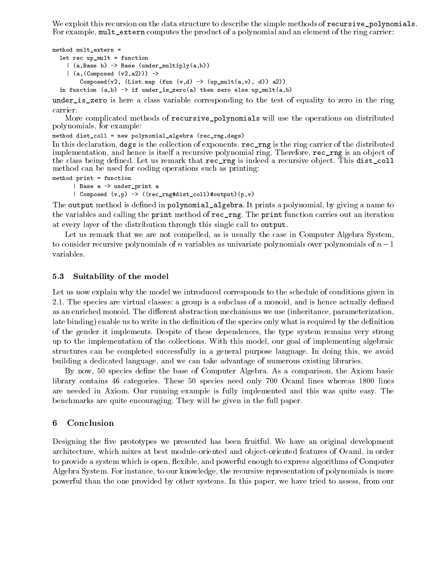We exploit this recursion on the data structure to describe the simple methods of recursive polynomials. For example, mult\_extern computes the product of a polynomial and an element of the ring carrier:

```
method mult_extern =
  let rec up_mult = function
    \vert (a, Base b) -> Base (under_multiply(a, b))
     (a, (Composed (v2,a2))) \rightarrowComposed(v2, (List.\text{map} (fun (v,d) \rightarrow (up\_mult(a,v), d)) a2))in function (a,b) \rightarrow if under_is\_zero(a) then zero else up_mult(a,b)
```
under\_is\_zero is here a class variable corresponding to the test of equality to zero in the ring carrier.

More complicated methods of recursive\_polynomials will use the operations on distributed polynomials, for example:

method dist\_coll = new polynomial\_algebra (rec\_rng, degs)

In this declaration, degs is the collection of exponents. rec\_rng is the ring carrier of the distributed implementation, and hence is itself a recursive polynomial ring. Therefore, rec\_rng is an object of the class being defined. Let us remark that rec\_rng is indeed a recursive object. This dist\_coll method can be used for coding operations such as printing:

 $method$  print = function

| Base a -> under\_print a

| Composed (v,p) -> ((rec\_rng#dist\_coll)#output)(p,v)

The output method is defined in polynomial\_algebra. It prints a polynomial, by giving a name to the variables and calling the print method of rec\_rng. The print function carries out an iteration at every layer of the distribution through this single call to output.

Let us remark that we are not compelled, as is usually the case in Computer Algebra System, to consider recursive polynomials of n variables as univariate polynomials over polynomials of  $n-1$ variables.

## $5.3$ Suitability of the model

Let us now explain why the model we introduced corresponds to the schedule of conditions given in 2.1. The species are virtual classes: a group is a subclass of a monoid, and is hence actually defined as an enriched monoid. The different abstraction mechanisms we use (inheritance, parameterization, late binding) enable us to write in the definition of the species only what is required by the definition of the gender it implements. Despite of these dependences, the type system remains very strong up to the implementation of the collections. With this model, our goal of implementing algebraic structures can be completed successfully in a general purpose language. In doing this, we avoid building a dedicated language, and we can take advantage of numerous existing libraries.

By now, 50 species define the base of Computer Algebra. As a comparison, the Axiom basic library contains 46 categories. These 50 species need only 700 Ocaml lines whereas 1800 lines are needed in Axiom. Our running example is fully implemented and this was quite easy. The benchmarks are quite encouraging. They will be given in the full paper.

# 6 Conclusion

Designing the five prototypes we presented has been fruitful. We have an original development architecture, which mixes at best module-oriented and object-oriented features of Ocaml, in order to provide a system which is open, flexible, and powerful enough to express algorithms of Computer Algebra System. For instance, to our knowledge, the recursive representation of polynomials is more powerful than the one provided by other systems. In this paper, we have tried to assess, from our